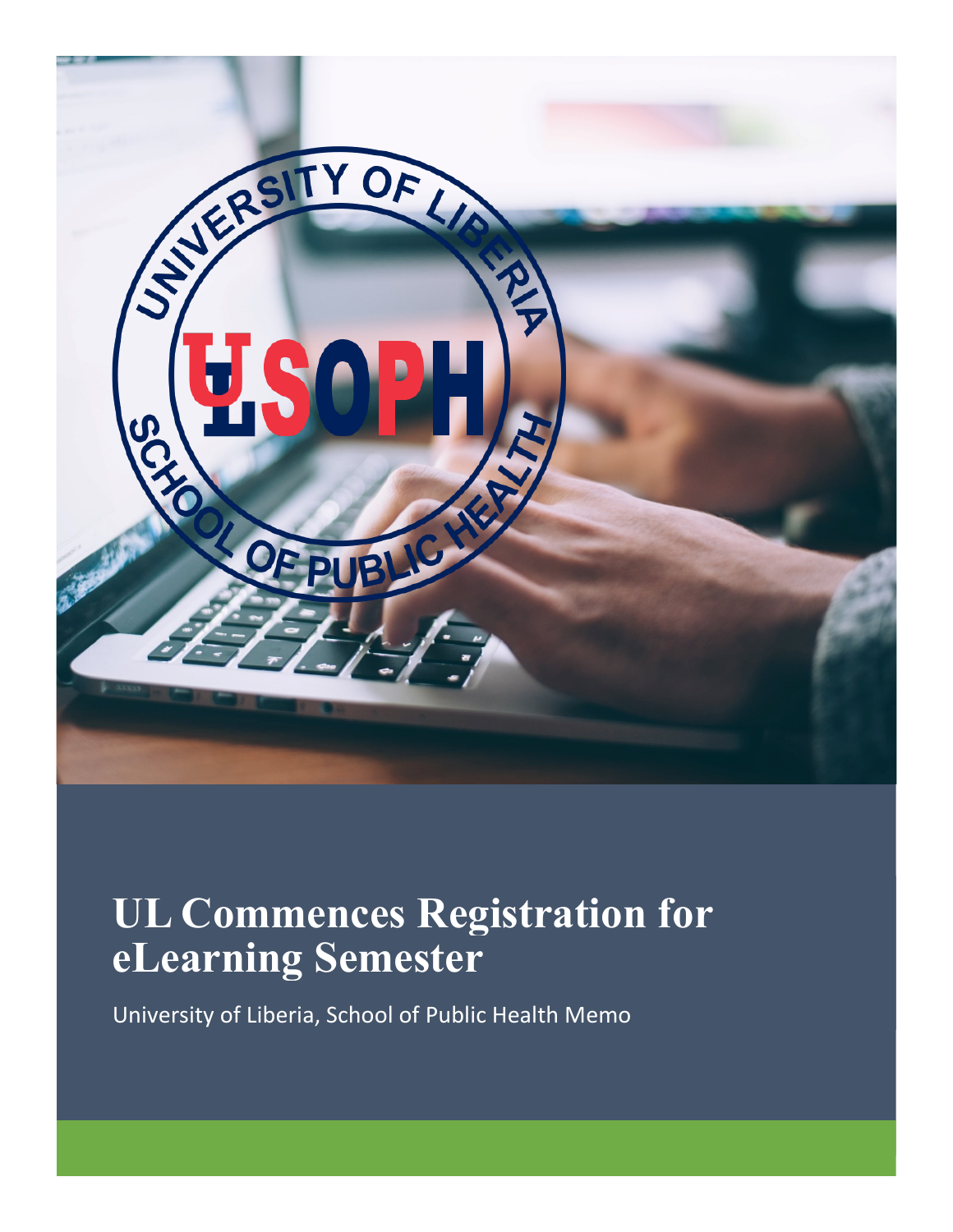

## **UL Commences Registration for eLearning Semester**

University of Liberia, School of Public Health Memo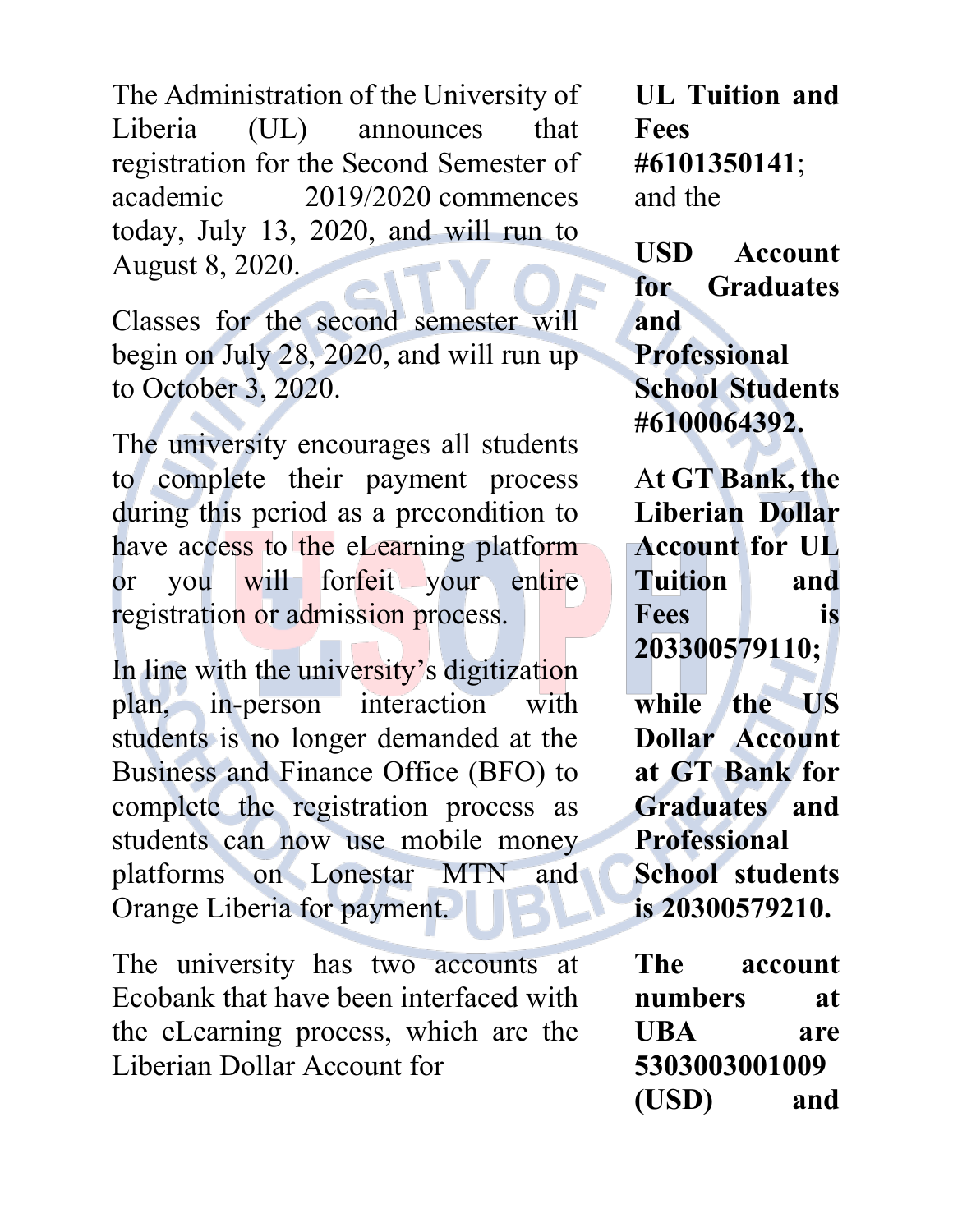The Administration of the University of Liberia (UL) announces that registration for the Second Semester of academic 2019/2020 commences today, July 13, 2020, and will run to August 8, 2020.

Classes for the second semester will begin on July 28, 2020, and will run up to October 3, 2020.

The university encourages all students to complete their payment process during this period as a precondition to have access to the eLearning platform or you will forfeit your entire registration or admission process.

In line with the university's digitization plan, in-person interaction with students is no longer demanded at the Business and Finance Office (BFO) to complete the registration process as students can now use mobile money platforms on Lonestar MTN and Orange Liberia for payment.

The university has two accounts at Ecobank that have been interfaced with the eLearning process, which are the Liberian Dollar Account for

**UL Tuition and Fees #6101350141**; and the

**USD Account for Graduates and Professional School Students #6100064392.**

A**t GT Bank, the Liberian Dollar Account for UL Tuition and Fees is 203300579110;** 

**while the US Dollar Account at GT Bank for Graduates and Professional School students is 20300579210.** 

**The account numbers at UBA are 5303003001009 (USD) and**